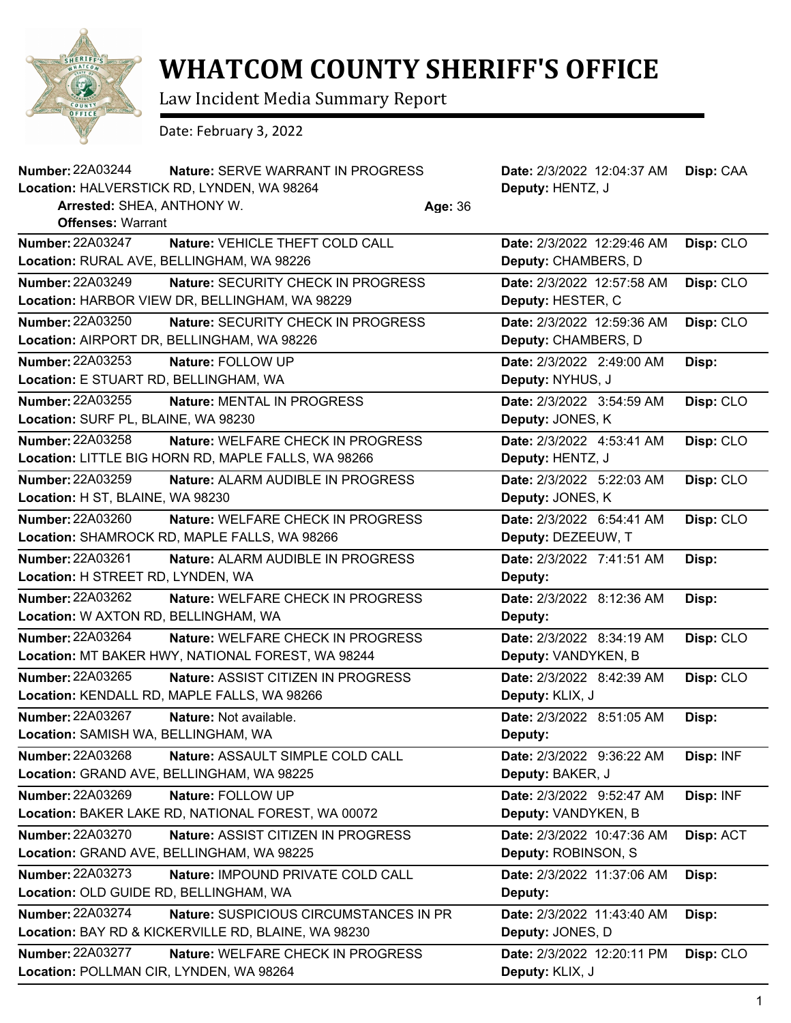

## **WHATCOM COUNTY SHERIFF'S OFFICE**

Law Incident Media Summary Report

Date: February 3, 2022

| <b>Number: 22A03244</b>                 | Nature: SERVE WARRANT IN PROGRESS                   |  | Date: 2/3/2022 12:04:37 AM       | Disp: CAA |  |
|-----------------------------------------|-----------------------------------------------------|--|----------------------------------|-----------|--|
|                                         | Location: HALVERSTICK RD, LYNDEN, WA 98264          |  | Deputy: HENTZ, J                 |           |  |
| Arrested: SHEA, ANTHONY W.<br>Age: 36   |                                                     |  |                                  |           |  |
| <b>Offenses: Warrant</b>                |                                                     |  |                                  |           |  |
| <b>Number: 22A03247</b>                 | Nature: VEHICLE THEFT COLD CALL                     |  | Date: 2/3/2022 12:29:46 AM       | Disp: CLO |  |
|                                         | Location: RURAL AVE, BELLINGHAM, WA 98226           |  | Deputy: CHAMBERS, D              |           |  |
| Number: 22A03249                        | <b>Nature: SECURITY CHECK IN PROGRESS</b>           |  | Date: 2/3/2022 12:57:58 AM       | Disp: CLO |  |
|                                         | Location: HARBOR VIEW DR, BELLINGHAM, WA 98229      |  | Deputy: HESTER, C                |           |  |
| <b>Number: 22A03250</b>                 | Nature: SECURITY CHECK IN PROGRESS                  |  | Date: 2/3/2022 12:59:36 AM       | Disp: CLO |  |
|                                         | Location: AIRPORT DR, BELLINGHAM, WA 98226          |  | Deputy: CHAMBERS, D              |           |  |
| <b>Number: 22A03253</b>                 | Nature: FOLLOW UP                                   |  | Date: 2/3/2022 2:49:00 AM        | Disp:     |  |
| Location: E STUART RD, BELLINGHAM, WA   |                                                     |  | Deputy: NYHUS, J                 |           |  |
| <b>Number: 22A03255</b>                 | Nature: MENTAL IN PROGRESS                          |  | Date: 2/3/2022 3:54:59 AM        | Disp: CLO |  |
| Location: SURF PL, BLAINE, WA 98230     |                                                     |  | Deputy: JONES, K                 |           |  |
| Number: 22A03258                        | <b>Nature: WELFARE CHECK IN PROGRESS</b>            |  | Date: 2/3/2022 4:53:41 AM        | Disp: CLO |  |
|                                         | Location: LITTLE BIG HORN RD, MAPLE FALLS, WA 98266 |  | Deputy: HENTZ, J                 |           |  |
| <b>Number: 22A03259</b>                 | Nature: ALARM AUDIBLE IN PROGRESS                   |  | Date: 2/3/2022 5:22:03 AM        | Disp: CLO |  |
| Location: H ST, BLAINE, WA 98230        |                                                     |  | Deputy: JONES, K                 |           |  |
| <b>Number: 22A03260</b>                 | Nature: WELFARE CHECK IN PROGRESS                   |  | Date: 2/3/2022 6:54:41 AM        | Disp: CLO |  |
|                                         | Location: SHAMROCK RD, MAPLE FALLS, WA 98266        |  | Deputy: DEZEEUW, T               |           |  |
| Number: 22A03261                        | <b>Nature: ALARM AUDIBLE IN PROGRESS</b>            |  | Date: 2/3/2022 7:41:51 AM        | Disp:     |  |
| Location: H STREET RD, LYNDEN, WA       |                                                     |  | Deputy:                          |           |  |
| Number: 22A03262                        | Nature: WELFARE CHECK IN PROGRESS                   |  | Date: 2/3/2022 8:12:36 AM        | Disp:     |  |
| Location: W AXTON RD, BELLINGHAM, WA    |                                                     |  | Deputy:                          |           |  |
| Number: 22A03264                        | <b>Nature: WELFARE CHECK IN PROGRESS</b>            |  | Date: 2/3/2022 8:34:19 AM        | Disp: CLO |  |
|                                         | Location: MT BAKER HWY, NATIONAL FOREST, WA 98244   |  | Deputy: VANDYKEN, B              |           |  |
| Number: 22A03265                        | Nature: ASSIST CITIZEN IN PROGRESS                  |  | Date: 2/3/2022 8:42:39 AM        | Disp: CLO |  |
|                                         | Location: KENDALL RD, MAPLE FALLS, WA 98266         |  | Deputy: KLIX, J                  |           |  |
| Number: 22A03267                        | Nature: Not available.                              |  | Date: 2/3/2022 8:51:05 AM        | Disp:     |  |
| Location: SAMISH WA, BELLINGHAM, WA     |                                                     |  | Deputy:                          |           |  |
| <b>Number: 22A03268</b>                 | Nature: ASSAULT SIMPLE COLD CALL                    |  | <b>Date: 2/3/2022 9:36:22 AM</b> | Disp: INF |  |
|                                         | Location: GRAND AVE, BELLINGHAM, WA 98225           |  | Deputy: BAKER, J                 |           |  |
| Number: 22A03269                        | Nature: FOLLOW UP                                   |  | Date: 2/3/2022 9:52:47 AM        | Disp: INF |  |
|                                         | Location: BAKER LAKE RD, NATIONAL FOREST, WA 00072  |  | Deputy: VANDYKEN, B              |           |  |
| <b>Number: 22A03270</b>                 | Nature: ASSIST CITIZEN IN PROGRESS                  |  | Date: 2/3/2022 10:47:36 AM       | Disp: ACT |  |
|                                         | Location: GRAND AVE, BELLINGHAM, WA 98225           |  | Deputy: ROBINSON, S              |           |  |
| Number: 22A03273                        | Nature: IMPOUND PRIVATE COLD CALL                   |  | Date: 2/3/2022 11:37:06 AM       | Disp:     |  |
| Location: OLD GUIDE RD, BELLINGHAM, WA  |                                                     |  | Deputy:                          |           |  |
| Number: 22A03274                        | <b>Nature: SUSPICIOUS CIRCUMSTANCES IN PR</b>       |  | Date: 2/3/2022 11:43:40 AM       | Disp:     |  |
|                                         | Location: BAY RD & KICKERVILLE RD, BLAINE, WA 98230 |  | Deputy: JONES, D                 |           |  |
| Number: 22A03277                        | Nature: WELFARE CHECK IN PROGRESS                   |  | Date: 2/3/2022 12:20:11 PM       | Disp: CLO |  |
| Location: POLLMAN CIR, LYNDEN, WA 98264 |                                                     |  | Deputy: KLIX, J                  |           |  |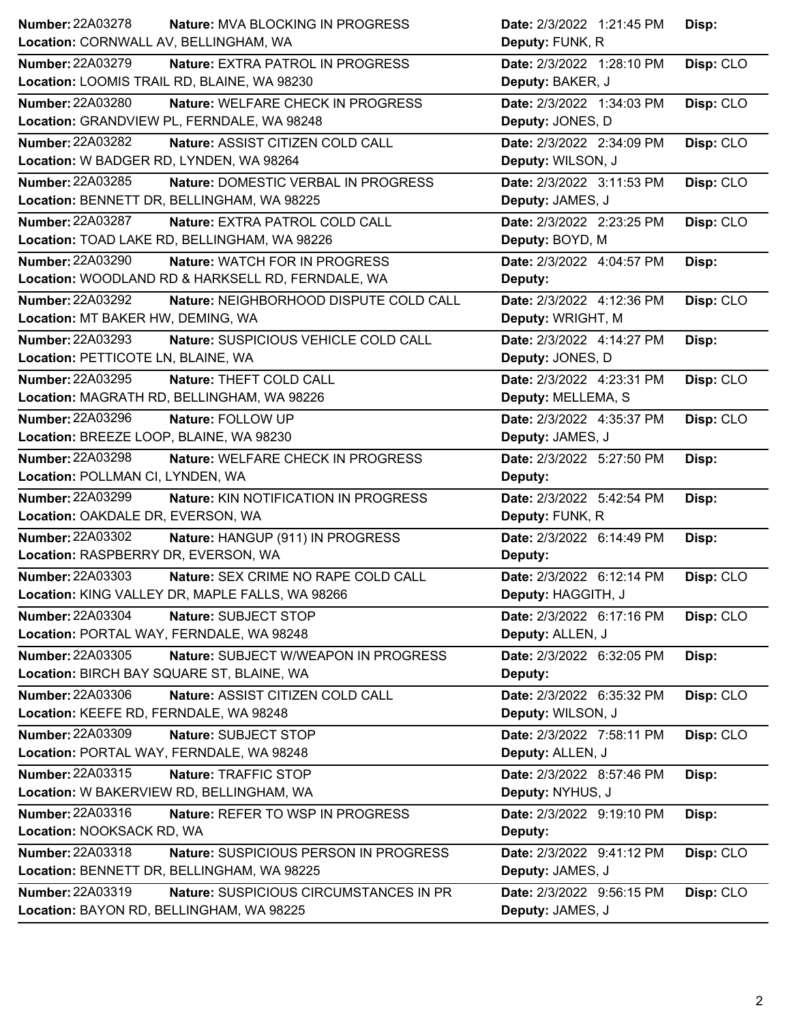| Number: 22A03278                            | Nature: MVA BLOCKING IN PROGRESS                  | Date: 2/3/2022 1:21:45 PM | Disp:     |
|---------------------------------------------|---------------------------------------------------|---------------------------|-----------|
| Location: CORNWALL AV, BELLINGHAM, WA       |                                                   | Deputy: FUNK, R           |           |
| <b>Number: 22A03279</b>                     | <b>Nature: EXTRA PATROL IN PROGRESS</b>           | Date: 2/3/2022 1:28:10 PM | Disp: CLO |
| Location: LOOMIS TRAIL RD, BLAINE, WA 98230 |                                                   | Deputy: BAKER, J          |           |
| <b>Number: 22A03280</b>                     | Nature: WELFARE CHECK IN PROGRESS                 | Date: 2/3/2022 1:34:03 PM | Disp: CLO |
|                                             | Location: GRANDVIEW PL, FERNDALE, WA 98248        | Deputy: JONES, D          |           |
| Number: 22A03282                            | Nature: ASSIST CITIZEN COLD CALL                  | Date: 2/3/2022 2:34:09 PM | Disp: CLO |
| Location: W BADGER RD, LYNDEN, WA 98264     |                                                   | Deputy: WILSON, J         |           |
| Number: 22A03285                            | Nature: DOMESTIC VERBAL IN PROGRESS               | Date: 2/3/2022 3:11:53 PM | Disp: CLO |
|                                             | Location: BENNETT DR, BELLINGHAM, WA 98225        | Deputy: JAMES, J          |           |
| Number: 22A03287                            | Nature: EXTRA PATROL COLD CALL                    | Date: 2/3/2022 2:23:25 PM | Disp: CLO |
|                                             | Location: TOAD LAKE RD, BELLINGHAM, WA 98226      | Deputy: BOYD, M           |           |
| Number: 22A03290                            | Nature: WATCH FOR IN PROGRESS                     | Date: 2/3/2022 4:04:57 PM | Disp:     |
|                                             | Location: WOODLAND RD & HARKSELL RD, FERNDALE, WA | Deputy:                   |           |
| Number: 22A03292                            | Nature: NEIGHBORHOOD DISPUTE COLD CALL            | Date: 2/3/2022 4:12:36 PM | Disp: CLO |
| Location: MT BAKER HW, DEMING, WA           |                                                   | Deputy: WRIGHT, M         |           |
| <b>Number: 22A03293</b>                     | Nature: SUSPICIOUS VEHICLE COLD CALL              | Date: 2/3/2022 4:14:27 PM | Disp:     |
| Location: PETTICOTE LN, BLAINE, WA          |                                                   | Deputy: JONES, D          |           |
| Number: 22A03295                            | Nature: THEFT COLD CALL                           | Date: 2/3/2022 4:23:31 PM | Disp: CLO |
|                                             | Location: MAGRATH RD, BELLINGHAM, WA 98226        | Deputy: MELLEMA, S        |           |
| Number: 22A03296                            | Nature: FOLLOW UP                                 | Date: 2/3/2022 4:35:37 PM | Disp: CLO |
| Location: BREEZE LOOP, BLAINE, WA 98230     |                                                   | Deputy: JAMES, J          |           |
| Number: 22A03298                            | Nature: WELFARE CHECK IN PROGRESS                 | Date: 2/3/2022 5:27:50 PM | Disp:     |
| Location: POLLMAN CI, LYNDEN, WA            |                                                   | Deputy:                   |           |
| <b>Number: 22A03299</b>                     | Nature: KIN NOTIFICATION IN PROGRESS              | Date: 2/3/2022 5:42:54 PM | Disp:     |
| Location: OAKDALE DR, EVERSON, WA           |                                                   | Deputy: FUNK, R           |           |
| <b>Number: 22A03302</b>                     | Nature: HANGUP (911) IN PROGRESS                  | Date: 2/3/2022 6:14:49 PM | Disp:     |
| Location: RASPBERRY DR, EVERSON, WA         |                                                   | Deputy:                   |           |
| <b>Number: 22A03303</b>                     | Nature: SEX CRIME NO RAPE COLD CALL               | Date: 2/3/2022 6:12:14 PM | Disp: CLO |
|                                             | Location: KING VALLEY DR, MAPLE FALLS, WA 98266   | Deputy: HAGGITH, J        |           |
| Number: 22A03304                            | Nature: SUBJECT STOP                              | Date: 2/3/2022 6:17:16 PM | Disp: CLO |
| Location: PORTAL WAY, FERNDALE, WA 98248    |                                                   | Deputy: ALLEN, J          |           |
| Number: 22A03305                            | Nature: SUBJECT W/WEAPON IN PROGRESS              | Date: 2/3/2022 6:32:05 PM | Disp:     |
| Location: BIRCH BAY SQUARE ST, BLAINE, WA   |                                                   | Deputy:                   |           |
| Number: 22A03306                            | Nature: ASSIST CITIZEN COLD CALL                  | Date: 2/3/2022 6:35:32 PM | Disp: CLO |
| Location: KEEFE RD, FERNDALE, WA 98248      |                                                   | Deputy: WILSON, J         |           |
| <b>Number: 22A03309</b>                     | Nature: SUBJECT STOP                              | Date: 2/3/2022 7:58:11 PM | Disp: CLO |
| Location: PORTAL WAY, FERNDALE, WA 98248    |                                                   | Deputy: ALLEN, J          |           |
| Number: 22A03315                            | Nature: TRAFFIC STOP                              | Date: 2/3/2022 8:57:46 PM | Disp:     |
|                                             | Location: W BAKERVIEW RD, BELLINGHAM, WA          | Deputy: NYHUS, J          |           |
| Number: 22A03316                            | Nature: REFER TO WSP IN PROGRESS                  | Date: 2/3/2022 9:19:10 PM | Disp:     |
| Location: NOOKSACK RD, WA                   |                                                   | Deputy:                   |           |
| Number: 22A03318                            | Nature: SUSPICIOUS PERSON IN PROGRESS             | Date: 2/3/2022 9:41:12 PM | Disp: CLO |
|                                             | Location: BENNETT DR, BELLINGHAM, WA 98225        | Deputy: JAMES, J          |           |
| Number: 22A03319                            | Nature: SUSPICIOUS CIRCUMSTANCES IN PR            | Date: 2/3/2022 9:56:15 PM | Disp: CLO |
| Location: BAYON RD, BELLINGHAM, WA 98225    |                                                   | Deputy: JAMES, J          |           |